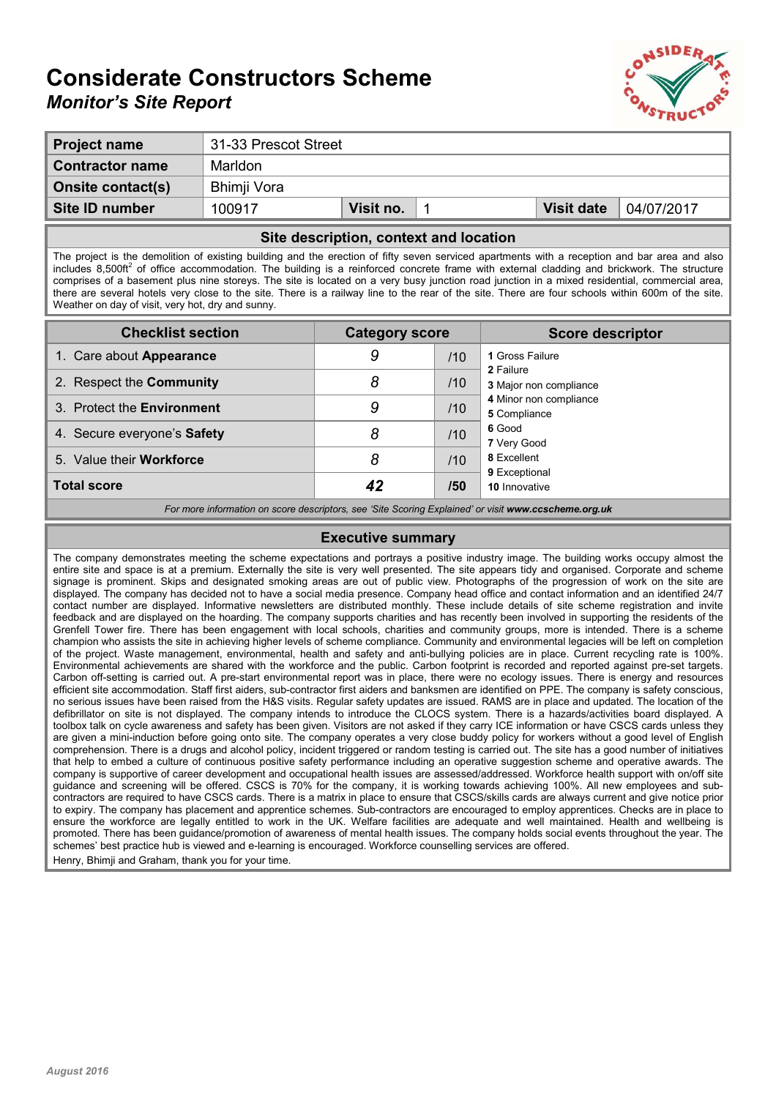# Considerate Constructors Scheme Monitor's Site Report



| <b>Project name</b>                                                                                                                           | 31-33 Prescot Street |           |  |                   |            |  |  |  |  |
|-----------------------------------------------------------------------------------------------------------------------------------------------|----------------------|-----------|--|-------------------|------------|--|--|--|--|
| <b>Contractor name</b>                                                                                                                        | Marldon              |           |  |                   |            |  |  |  |  |
| Onsite contact(s)                                                                                                                             | Bhimji Vora          |           |  |                   |            |  |  |  |  |
| Site ID number                                                                                                                                | 100917               | Visit no. |  | <b>Visit date</b> | 04/07/2017 |  |  |  |  |
| Site description, context and location                                                                                                        |                      |           |  |                   |            |  |  |  |  |
| The project is the demolition of existing building and the erection of fifty seven serviced apartments with a reception and bar area and also |                      |           |  |                   |            |  |  |  |  |

includes 8,500ft<sup>2</sup> of office accommodation. The building is a reinforced concrete frame with external cladding and brickwork. The structure comprises of a basement plus nine storeys. The site is located on a very busy junction road junction in a mixed residential, commercial area, there are several hotels very close to the site. There is a railway line to the rear of the site. There are four schools within 600m of the site. Weather on day of visit, very hot, dry and sunny.

| <b>Checklist section</b>          | <b>Category score</b> |     | <b>Score descriptor</b>                |  |  |
|-----------------------------------|-----------------------|-----|----------------------------------------|--|--|
| 1. Care about Appearance          | 9                     | /10 | 1 Gross Failure                        |  |  |
| 2. Respect the <b>Community</b>   | 8                     | /10 | 2 Failure<br>3 Major non compliance    |  |  |
| 3. Protect the <b>Environment</b> | 9                     | /10 | 4 Minor non compliance<br>5 Compliance |  |  |
| 4. Secure everyone's Safety       | 8                     | /10 | 6 Good<br>7 Very Good                  |  |  |
| 5. Value their <b>Workforce</b>   | 8                     | /10 | 8 Excellent<br>9 Exceptional           |  |  |
| <b>Total score</b>                | 42                    | /50 | 10 Innovative                          |  |  |

For more information on score descriptors, see 'Site Scoring Explained' or visit www.ccscheme.org.uk

#### Executive summary

The company demonstrates meeting the scheme expectations and portrays a positive industry image. The building works occupy almost the entire site and space is at a premium. Externally the site is very well presented. The site appears tidy and organised. Corporate and scheme signage is prominent. Skips and designated smoking areas are out of public view. Photographs of the progression of work on the site are displayed. The company has decided not to have a social media presence. Company head office and contact information and an identified 24/7 contact number are displayed. Informative newsletters are distributed monthly. These include details of site scheme registration and invite feedback and are displayed on the hoarding. The company supports charities and has recently been involved in supporting the residents of the Grenfell Tower fire. There has been engagement with local schools, charities and community groups, more is intended. There is a scheme champion who assists the site in achieving higher levels of scheme compliance. Community and environmental legacies will be left on completion of the project. Waste management, environmental, health and safety and anti-bullying policies are in place. Current recycling rate is 100%. Environmental achievements are shared with the workforce and the public. Carbon footprint is recorded and reported against pre-set targets. Carbon off-setting is carried out. A pre-start environmental report was in place, there were no ecology issues. There is energy and resources efficient site accommodation. Staff first aiders, sub-contractor first aiders and banksmen are identified on PPE. The company is safety conscious, no serious issues have been raised from the H&S visits. Regular safety updates are issued. RAMS are in place and updated. The location of the defibrillator on site is not displayed. The company intends to introduce the CLOCS system. There is a hazards/activities board displayed. A toolbox talk on cycle awareness and safety has been given. Visitors are not asked if they carry ICE information or have CSCS cards unless they are given a mini-induction before going onto site. The company operates a very close buddy policy for workers without a good level of English comprehension. There is a drugs and alcohol policy, incident triggered or random testing is carried out. The site has a good number of initiatives that help to embed a culture of continuous positive safety performance including an operative suggestion scheme and operative awards. The company is supportive of career development and occupational health issues are assessed/addressed. Workforce health support with on/off site guidance and screening will be offered. CSCS is 70% for the company, it is working towards achieving 100%. All new employees and subcontractors are required to have CSCS cards. There is a matrix in place to ensure that CSCS/skills cards are always current and give notice prior to expiry. The company has placement and apprentice schemes. Sub-contractors are encouraged to employ apprentices. Checks are in place to ensure the workforce are legally entitled to work in the UK. Welfare facilities are adequate and well maintained. Health and wellbeing is promoted. There has been guidance/promotion of awareness of mental health issues. The company holds social events throughout the year. The schemes' best practice hub is viewed and e-learning is encouraged. Workforce counselling services are offered.

Henry, Bhimji and Graham, thank you for your time.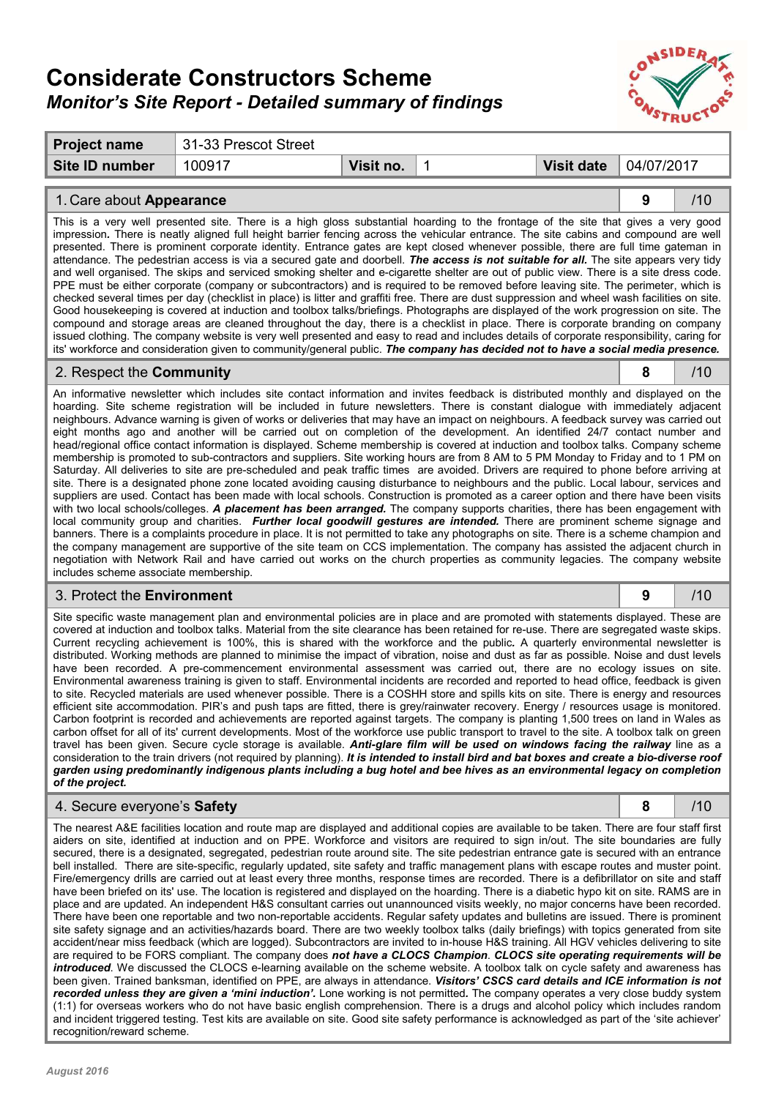# Considerate Constructors Scheme Monitor's Site Report - Detailed summary of findings



| <b>Project name</b>                                                                                                                                                                                                                                                                                                                                                                                                                                                                                                                                                                                                                                                                                                                                                                                                                                                                                                                                                                                                                                                                                                                                                                                                                                                                                                                                                                                                                                                                                                                                                                                                                                                                                                                                                                                                                                                                                                                                                | 31-33 Prescot Street |           |   |                   |            |     |  |  |  |
|--------------------------------------------------------------------------------------------------------------------------------------------------------------------------------------------------------------------------------------------------------------------------------------------------------------------------------------------------------------------------------------------------------------------------------------------------------------------------------------------------------------------------------------------------------------------------------------------------------------------------------------------------------------------------------------------------------------------------------------------------------------------------------------------------------------------------------------------------------------------------------------------------------------------------------------------------------------------------------------------------------------------------------------------------------------------------------------------------------------------------------------------------------------------------------------------------------------------------------------------------------------------------------------------------------------------------------------------------------------------------------------------------------------------------------------------------------------------------------------------------------------------------------------------------------------------------------------------------------------------------------------------------------------------------------------------------------------------------------------------------------------------------------------------------------------------------------------------------------------------------------------------------------------------------------------------------------------------|----------------------|-----------|---|-------------------|------------|-----|--|--|--|
| Site ID number                                                                                                                                                                                                                                                                                                                                                                                                                                                                                                                                                                                                                                                                                                                                                                                                                                                                                                                                                                                                                                                                                                                                                                                                                                                                                                                                                                                                                                                                                                                                                                                                                                                                                                                                                                                                                                                                                                                                                     | 100917               | Visit no. | 1 | <b>Visit date</b> | 04/07/2017 |     |  |  |  |
|                                                                                                                                                                                                                                                                                                                                                                                                                                                                                                                                                                                                                                                                                                                                                                                                                                                                                                                                                                                                                                                                                                                                                                                                                                                                                                                                                                                                                                                                                                                                                                                                                                                                                                                                                                                                                                                                                                                                                                    |                      |           |   |                   |            |     |  |  |  |
| 1. Care about Appearance                                                                                                                                                                                                                                                                                                                                                                                                                                                                                                                                                                                                                                                                                                                                                                                                                                                                                                                                                                                                                                                                                                                                                                                                                                                                                                                                                                                                                                                                                                                                                                                                                                                                                                                                                                                                                                                                                                                                           |                      |           |   |                   | 9          | /10 |  |  |  |
| This is a very well presented site. There is a high gloss substantial hoarding to the frontage of the site that gives a very good<br>impression. There is neatly aligned full height barrier fencing across the vehicular entrance. The site cabins and compound are well<br>presented. There is prominent corporate identity. Entrance gates are kept closed whenever possible, there are full time gateman in<br>attendance. The pedestrian access is via a secured gate and doorbell. The access is not suitable for all. The site appears very tidy<br>and well organised. The skips and serviced smoking shelter and e-cigarette shelter are out of public view. There is a site dress code.<br>PPE must be either corporate (company or subcontractors) and is required to be removed before leaving site. The perimeter, which is<br>checked several times per day (checklist in place) is litter and graffiti free. There are dust suppression and wheel wash facilities on site.<br>Good housekeeping is covered at induction and toolbox talks/briefings. Photographs are displayed of the work progression on site. The<br>compound and storage areas are cleaned throughout the day, there is a checklist in place. There is corporate branding on company<br>issued clothing. The company website is very well presented and easy to read and includes details of corporate responsibility, caring for<br>its' workforce and consideration given to community/general public. The company has decided not to have a social media presence.                                                                                                                                                                                                                                                                                                                                                                                                            |                      |           |   |                   |            |     |  |  |  |
| 2. Respect the <b>Community</b>                                                                                                                                                                                                                                                                                                                                                                                                                                                                                                                                                                                                                                                                                                                                                                                                                                                                                                                                                                                                                                                                                                                                                                                                                                                                                                                                                                                                                                                                                                                                                                                                                                                                                                                                                                                                                                                                                                                                    |                      |           |   |                   | 8          | /10 |  |  |  |
| An informative newsletter which includes site contact information and invites feedback is distributed monthly and displayed on the<br>hoarding. Site scheme registration will be included in future newsletters. There is constant dialogue with immediately adjacent<br>neighbours. Advance warning is given of works or deliveries that may have an impact on neighbours. A feedback survey was carried out<br>eight months ago and another will be carried out on completion of the development. An identified 24/7 contact number and<br>head/regional office contact information is displayed. Scheme membership is covered at induction and toolbox talks. Company scheme<br>membership is promoted to sub-contractors and suppliers. Site working hours are from 8 AM to 5 PM Monday to Friday and to 1 PM on<br>Saturday. All deliveries to site are pre-scheduled and peak traffic times are avoided. Drivers are required to phone before arriving at<br>site. There is a designated phone zone located avoiding causing disturbance to neighbours and the public. Local labour, services and<br>suppliers are used. Contact has been made with local schools. Construction is promoted as a career option and there have been visits<br>with two local schools/colleges. A placement has been arranged. The company supports charities, there has been engagement with<br>local community group and charities. Further local goodwill gestures are intended. There are prominent scheme signage and<br>banners. There is a complaints procedure in place. It is not permitted to take any photographs on site. There is a scheme champion and<br>the company management are supportive of the site team on CCS implementation. The company has assisted the adjacent church in<br>negotiation with Network Rail and have carried out works on the church properties as community legacies. The company website<br>includes scheme associate membership. |                      |           |   |                   |            |     |  |  |  |
| 3. Protect the <b>Environment</b>                                                                                                                                                                                                                                                                                                                                                                                                                                                                                                                                                                                                                                                                                                                                                                                                                                                                                                                                                                                                                                                                                                                                                                                                                                                                                                                                                                                                                                                                                                                                                                                                                                                                                                                                                                                                                                                                                                                                  |                      |           |   |                   | 9          | /10 |  |  |  |
| Site specific waste management plan and environmental policies are in place and are promoted with statements displayed. These are<br>covered at induction and toolbox talks. Material from the site clearance has been retained for re-use. There are segregated waste skips.<br>Current recycling achievement is 100%, this is shared with the workforce and the public. A quarterly environmental newsletter is<br>distributed. Working methods are planned to minimise the impact of vibration, noise and dust as far as possible. Noise and dust levels<br>have been recorded. A pre-commencement environmental assessment was carried out, there are no ecology issues on site.<br>Environmental awareness training is given to staff. Environmental incidents are recorded and reported to head office, feedback is given<br>to site. Recycled materials are used whenever possible. There is a COSHH store and spills kits on site. There is energy and resources<br>efficient site accommodation. PIR's and push taps are fitted, there is grey/rainwater recovery. Energy / resources usage is monitored.<br>Carbon footprint is recorded and achievements are reported against targets. The company is planting 1,500 trees on land in Wales as<br>carbon offset for all of its' current developments. Most of the workforce use public transport to travel to the site. A toolbox talk on green<br>travel has been given. Secure cycle storage is available. Anti-glare film will be used on windows facing the railway line as a<br>consideration to the train drivers (not required by planning). It is intended to install bird and bat boxes and create a bio-diverse roof<br>garden using predominantly indigenous plants including a bug hotel and bee hives as an environmental legacy on completion<br>of the project.                                                                                                                          |                      |           |   |                   |            |     |  |  |  |
| 4. Secure everyone's Safety                                                                                                                                                                                                                                                                                                                                                                                                                                                                                                                                                                                                                                                                                                                                                                                                                                                                                                                                                                                                                                                                                                                                                                                                                                                                                                                                                                                                                                                                                                                                                                                                                                                                                                                                                                                                                                                                                                                                        |                      |           |   |                   | 8          | /10 |  |  |  |
| The nearest A&E facilities location and route map are displayed and additional copies are available to be taken. There are four staff first<br>aiders on site, identified at induction and on PPE. Workforce and visitors are required to sign in/out. The site boundaries are fully<br>secured, there is a designated, segregated, pedestrian route around site. The site pedestrian entrance gate is secured with an entrance<br>bell installed. There are site-specific, regularly updated, site safety and traffic management plans with escape routes and muster point.<br>Fire/emergency drills are carried out at least every three months, response times are recorded. There is a defibrillator on site and staff<br>have been briefed on its' use. The location is registered and displayed on the hoarding. There is a diabetic hypo kit on site. RAMS are in<br>place and are updated. An independent H&S consultant carries out unannounced visits weekly, no major concerns have been recorded.<br>There have been one reportable and two non-reportable accidents. Regular safety updates and bulletins are issued. There is prominent<br>site safety signage and an activities/hazards board. There are two weekly toolbox talks (daily briefings) with topics generated from site<br>accident/near miss feedback (which are logged). Subcontractors are invited to in-house H&S training. All HGV vehicles delivering to site<br>are required to be FORS compliant. The company does not have a CLOCS Champion. CLOCS site operating requirements will be<br>introduced. We discussed the CLOCS e-learning available on the scheme website. A toolbox talk on cycle safety and awareness has                                                                                                                                                                                                                                                      |                      |           |   |                   |            |     |  |  |  |

been given. Trained banksman, identified on PPE, are always in attendance. **Visitors' CSCS card details and ICE information is not** recorded unless they are given a 'mini induction'. Lone working is not permitted. The company operates a very close buddy system (1:1) for overseas workers who do not have basic english comprehension. There is a drugs and alcohol policy which includes random and incident triggered testing. Test kits are available on site. Good site safety performance is acknowledged as part of the 'site achiever' recognition/reward scheme.